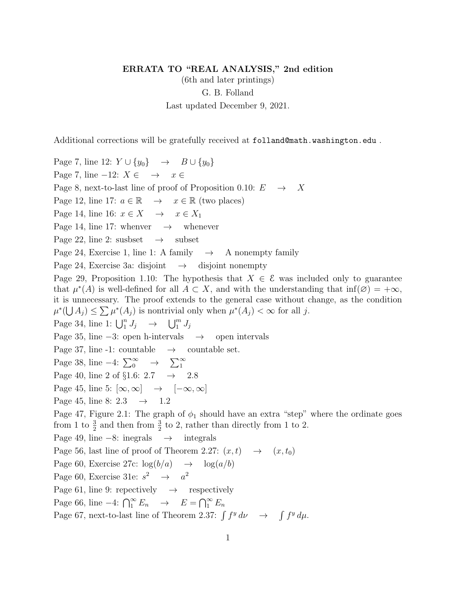## ERRATA TO "REAL ANALYSIS," 2nd edition

(6th and later printings) G. B. Folland Last updated December 9, 2021.

Additional corrections will be gratefully received at folland@math.washington.edu .

Page 7, line 12:  $Y \cup \{y_0\} \rightarrow B \cup \{y_0\}$ Page 7, line  $-12$ :  $X \in \rightarrow x \in$ Page 8, next-to-last line of proof of Proposition 0.10:  $E \rightarrow X$ Page 12, line 17:  $a \in \mathbb{R} \rightarrow x \in \mathbb{R}$  (two places) Page 14, line 16:  $x \in X \rightarrow x \in X_1$ Page 14, line 17: whenver  $\rightarrow$  whenever Page 22, line 2: susbset  $\rightarrow$  subset Page 24, Exercise 1, line 1: A family  $\rightarrow$  A nonempty family Page 24, Exercise 3a: disjoint  $\rightarrow$  disjoint nonempty Page 29, Proposition 1.10: The hypothesis that  $X \in \mathcal{E}$  was included only to guarantee that  $\mu^*(A)$  is well-defined for all  $A \subset X$ , and with the understanding that inf $(\emptyset) = +\infty$ , it is unnecessary. The proof extends to the general case without change, as the condition  $\mu^*(\bigcup A_j) \leq \sum \mu^*(A_j)$  is nontrivial only when  $\mu^*(A_j) < \infty$  for all j. Page 34, line 1:  $\bigcup_{1}^{n} J_j \rightarrow \bigcup_{1}^{m} J_j$ Page 35, line  $-3$ : open h-intervals  $\rightarrow$  open intervals Page 37, line -1: countable  $\rightarrow$  countable set. Page 38, line  $-4$ :  $\sum_{0}^{\infty} \rightarrow \sum_{1}^{\infty}$ Page 40, line 2 of §1.6:  $2.7 \rightarrow 2.8$ Page 45, line 5:  $[\infty, \infty] \rightarrow [-\infty, \infty]$ Page 45, line 8: 2.3  $\rightarrow$  1.2 Page 47, Figure 2.1: The graph of  $\phi_1$  should have an extra "step" where the ordinate goes from 1 to  $\frac{3}{2}$  and then from  $\frac{3}{2}$  to 2, rather than directly from 1 to 2. Page 49, line  $-8$ : inegrals  $\rightarrow$  integrals Page 56, last line of proof of Theorem 2.27:  $(x, t) \rightarrow (x, t_0)$ Page 60, Exercise 27c:  $\log(b/a) \rightarrow \log(a/b)$ Page 60, Exercise 31e:  $s^2 \rightarrow a^2$ Page 61, line 9: repectively  $\rightarrow$  respectively Page 66, line  $-4$ :  $\bigcap_{1}^{\infty} E_n \rightarrow E = \bigcap_{1}^{\infty} E_n$ Page 67, next-to-last line of Theorem 2.37:  $\int f^y d\nu \rightarrow \int f^y d\mu$ .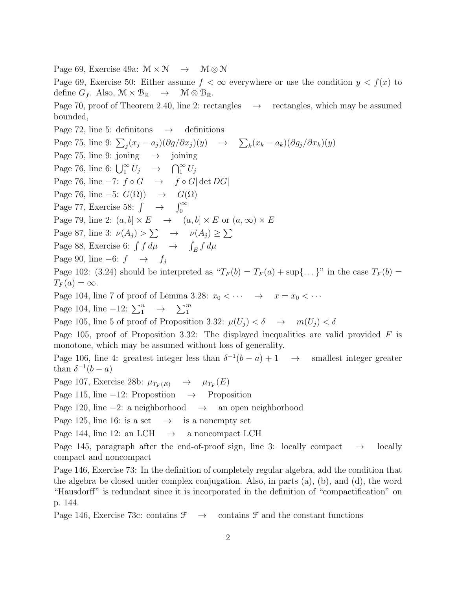Page 69, Exercise 49a:  $\mathcal{M} \times \mathcal{N} \rightarrow \mathcal{M} \otimes \mathcal{N}$ 

Page 69, Exercise 50: Either assume  $f < \infty$  everywhere or use the condition  $y < f(x)$  to define  $G_f$ . Also,  $\mathcal{M} \times \mathcal{B}_{\mathbb{R}} \longrightarrow \mathcal{M} \otimes \mathcal{B}_{\mathbb{R}}$ .

Page 70, proof of Theorem 2.40, line 2: rectangles  $\rightarrow$  rectangles, which may be assumed bounded,

Page 72, line 5: definitions  $\rightarrow$  definitions Page 75, line 9:  $\sum_j (x_j - a_j)(\partial g/\partial x_j)(y) \rightarrow \sum_k (x_k - a_k)(\partial g_j/\partial x_k)(y)$ Page 75, line 9: joning  $\rightarrow$  joining Page 76, line 6:  $\bigcup_{1}^{\infty} U_j \rightarrow \bigcap_{1}^{\infty} U_j$ Page 76, line  $-7: f \circ G \rightarrow f \circ G |\det DG|$ Page 76, line  $-5: G(\Omega) \rightarrow G(\Omega)$ Page 77, Exercise 58:  $\int \rightarrow \int_0^\infty$ Page 79, line 2:  $(a, b] \times E \rightarrow (a, b] \times E$  or  $(a, \infty) \times E$ Page 87, line 3:  $\nu(A_j) > \sum \rightarrow \nu(A_j) \geq \sum$ Page 88, Exercise 6:  $\int f d\mu \rightarrow \int_E f d\mu$ Page 90, line −6:  $f \rightarrow f_i$ Page 102: (3.24) should be interpreted as " $T_F(b) = T_F(a) + \sup\{\ldots\}$ " in the case  $T_F(b) =$  $T_F(a) = \infty.$ Page 104, line 7 of proof of Lemma 3.28:  $x_0 < \cdots \rightarrow x = x_0 < \cdots$ Page 104, line  $-12: \sum_{1}^{n} \rightarrow \sum_{1}^{m}$ Page 105, line 5 of proof of Proposition 3.32:  $\mu(U_j) < \delta \rightarrow m(U_j) < \delta$ Page 105, proof of Proposition 3.32: The displayed inequalities are valid provided  $F$  is monotone, which may be assumed without loss of generality. Page 106, line 4: greatest integer less than  $\delta^{-1}$ smallest integer greater than  $\delta^{-1}(b-a)$ Page 107, Exercise 28b:  $\mu_{T_F(E)} \rightarrow \mu_{T_F}(E)$ Page 115, line  $-12$ : Proposition  $\rightarrow$  Proposition Page 120, line −2: a neighborhood → an open neighborhood Page 125, line 16: is a set  $\rightarrow$  is a nonempty set Page 144, line 12: an LCH  $\rightarrow$  a noncompact LCH Page 145, paragraph after the end-of-proof sign, line 3: locally compact  $\rightarrow$  locally

compact and noncompact

Page 146, Exercise 73: In the definition of completely regular algebra, add the condition that the algebra be closed under complex conjugation. Also, in parts (a), (b), and (d), the word "Hausdorff" is redundant since it is incorporated in the definition of "compactification" on p. 144.

Page 146, Exercise 73c: contains  $\mathcal{F} \rightarrow$  contains  $\mathcal{F}$  and the constant functions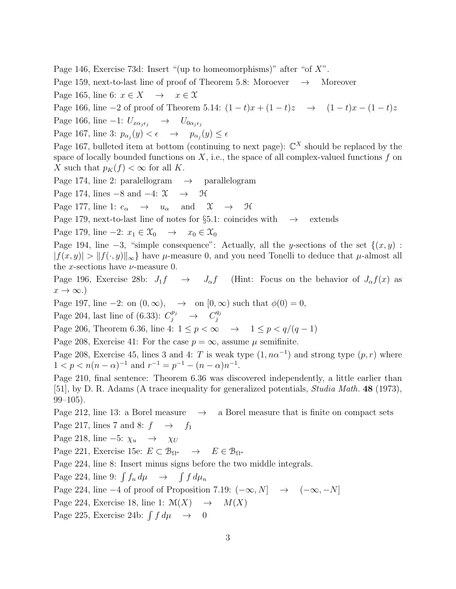Page 146, Exercise 73d: Insert "(up to homeomorphisms)" after "of  $X$ ".

Page 159, next-to-last line of proof of Theorem 5.8: Moroever  $\rightarrow$  Moreover

Page 165, line 6:  $x \in X \rightarrow x \in \mathcal{X}$ 

Page 166, line −2 of proof of Theorem 5.14:  $(1-t)x + (1-t)z \rightarrow (1-t)x - (1-t)z$ 

Page 166, line −1:  $U_{x\alpha_j\epsilon_j} \rightarrow U_{0\alpha_j\epsilon_j}$ 

Page 167, line 3:  $p_{\alpha_j}(y) < \epsilon \rightarrow p_{\alpha_j}(y) \leq \epsilon$ 

Page 167, bulleted item at bottom (continuing to next page):  $\mathbb{C}^X$  should be replaced by the space of locally bounded functions on  $X$ , i.e., the space of all complex-valued functions  $f$  on X such that  $p_K(f) < \infty$  for all K.

Page 174, line 2: paralellogram  $\rightarrow$  parallelogram

Page 174, lines  $-8$  and  $-4$ :  $\mathfrak{X} \rightarrow \mathfrak{H}$ 

Page 177, line 1:  $e_{\alpha} \rightarrow u_{\alpha}$  and  $\mathfrak{X} \rightarrow \mathfrak{H}$ 

Page 179, next-to-last line of notes for §5.1: coincides with  $\rightarrow$  extends

Page 179, line  $-2: x_1 \in \mathfrak{X}_0 \rightarrow x_0 \in \mathfrak{X}_0$ 

Page 194, line  $-3$ , "simple consequence": Actually, all the y-sections of the set  $\{(x, y)$ :  $|f(x,y)| > ||f(\cdot,y)||_{\infty}$  have  $\mu$ -measure 0, and you need Tonelli to deduce that  $\mu$ -almost all the x-sections have  $\nu$ -measure 0.

Page 196, Exercise 28b:  $J_1 f \rightarrow J_\alpha f$  (Hint: Focus on the behavior of  $J_\alpha f(x)$  as  $x \to \infty$ .)

Page 197, line  $-2$ : on  $(0, \infty)$ ,  $\rightarrow$  on  $[0, \infty)$  such that  $\phi(0) = 0$ ,

Page 204, last line of (6.33):  $C_j^{p_j} \rightarrow C_j^{q_j}$ j

Page 206, Theorem 6.36, line 4:  $1 \leq p < \infty \rightarrow 1 \leq p < q/(q-1)$ 

Page 208, Exercise 41: For the case  $p = \infty$ , assume  $\mu$  semifinite.

Page 208, Exercise 45, lines 3 and 4: T is weak type  $(1, n\alpha^{-1})$  and strong type  $(p, r)$  where  $1 < p < n(n - \alpha)^{-1}$  and  $r^{-1} = p^{-1} - (n - \alpha)n^{-1}$ .

Page 210, final sentence: Theorem 6.36 was discovered independently, a little earlier than [51], by D. R. Adams (A trace inequality for generalized potentials, Studia Math. 48 (1973),  $99-105$ ).

Page 212, line 13: a Borel measure  $\rightarrow$  a Borel measure that is finite on compact sets

Page 217, lines 7 and 8:  $f \rightarrow f_1$ 

Page 218, line −5:  $\chi_u \rightarrow \chi_U$ 

Page 221, Exercise 15e:  $E \subset \mathcal{B}_{\Omega^*} \to E \in \mathcal{B}_{\Omega^*}$ 

Page 224, line 8: Insert minus signs before the two middle integrals.

Page 224, line 9:  $\int f_n d\mu \rightarrow \int f d\mu_n$ 

Page 224, line  $-4$  of proof of Proposition 7.19:  $(-\infty, N] \rightarrow (-\infty, -N]$ 

Page 224, Exercise 18, line 1:  $\mathcal{M}(X) \rightarrow M(X)$ 

Page 225, Exercise 24b:  $\int f d\mu \rightarrow 0$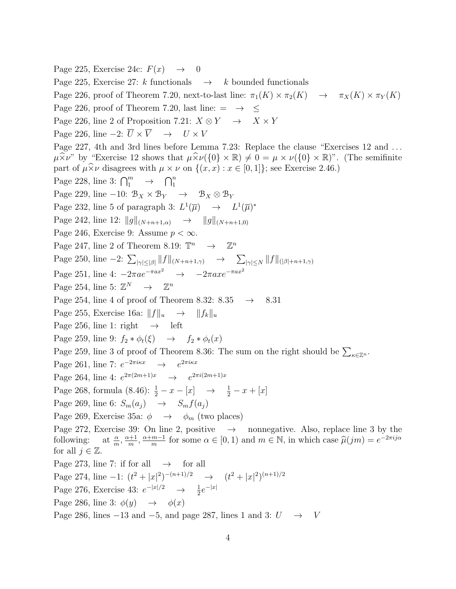Page 225, Exercise 24c:  $F(x) \rightarrow 0$ Page 225, Exercise 27: k functionals  $\rightarrow$  k bounded functionals Page 226, proof of Theorem 7.20, next-to-last line:  $\pi_1(K) \times \pi_2(K) \to \pi_X(K) \times \pi_Y(K)$ Page 226, proof of Theorem 7.20, last line:  $= \rightarrow \leq$ Page 226, line 2 of Proposition 7.21:  $X \otimes Y \rightarrow X \times Y$ Page 226, line  $-2: \overline{U} \times \overline{V} \rightarrow U \times V$ Page 227, 4th and 3rd lines before Lemma 7.23: Replace the clause "Exercises 12 and ...  $\mu \times \nu$ " by "Exercise 12 shows that  $\mu \times \nu({0} \times \mathbb{R}) \neq 0 = \mu \times \nu({0} \times \mathbb{R})$ ". (The semifinite part of  $\mu \widehat{\times} \nu$  disagrees with  $\mu \times \nu$  on  $\{(x, x) : x \in [0, 1]\}$ ; see Exercise 2.46.) Page 228, line 3:  $\bigcap_{1}^{m} \rightarrow \bigcap_{1}^{n}$ Page 229, line −10:  $\mathcal{B}_X \times \mathcal{B}_Y \rightarrow \mathcal{B}_X \otimes \mathcal{B}_Y$ Page 232, line 5 of paragraph 3:  $L^1(\overline{\mu}) \rightarrow L^1(\overline{\mu})^*$ Page 242, line 12:  $||g||_{(N+n+1,\alpha)} \rightarrow ||g||_{(N+n+1,0)}$ Page 246, Exercise 9: Assume  $p < \infty$ . Page 247, line 2 of Theorem 8.19:  $\mathbb{T}^n \longrightarrow \mathbb{Z}^n$ Page 250, line  $-2$ :  $\sum_{|\gamma| \leq |\beta|} ||f||_{(N+n+1,\gamma)} \rightarrow \sum_{|\gamma| \leq N} ||f||_{(|\beta|+n+1,\gamma)}$ Page 251, line 4:  $-2\pi ae^{-\pi ax^2} \rightarrow -2\pi axe^{-\pi ax^2}$ Page 254, line 5:  $\mathbb{Z}^N \longrightarrow \mathbb{Z}$  $\mathbb{Z}^n$ Page 254, line 4 of proof of Theorem 8.32: 8.35  $\rightarrow$  8.31 Page 255, Exercise 16a:  $||f||_u \rightarrow ||f_k||_u$ Page 256, line 1: right  $\rightarrow$  left Page 259, line 9:  $f_2 * \phi_t(\xi) \rightarrow f_2 * \phi_t(x)$ Page 259, line 3 of proof of Theorem 8.36: The sum on the right should be  $\sum_{\kappa \in \mathbb{Z}^n}$ . Page 261, line 7:  $e^{-2\pi i \kappa x} \rightarrow e^{2\pi i \kappa x}$ Page 264, line 4:  $e^{2\pi(2m+1)x} \rightarrow e^{2\pi i(2m+1)x}$ Page 268, formula (8.46):  $\frac{1}{2} - x - [x] \rightarrow \frac{1}{2} - x + [x]$ Page 269, line 6:  $S_m(a_i) \rightarrow S_m f(a_i)$ Page 269, Exercise 35a:  $\phi \rightarrow \phi_m$  (two places) Page 272, Exercise 39: On line 2, positive  $\rightarrow$  nonnegative. Also, replace line 3 by the following:  $\frac{\alpha}{m}$ ,  $\frac{\alpha+1}{m}$  $\frac{n+1}{m}, \frac{\alpha+m-1}{m}$  $\frac{m-1}{m}$  for some  $\alpha \in [0,1)$  and  $m \in \mathbb{N}$ , in which case  $\widehat{\mu}(jm) = e^{-2\pi i j \alpha}$ for all  $j \in \mathbb{Z}$ . Page 273, line 7: if for all  $\rightarrow$  for all Page 274, line  $-1: (t^2+|x|^2)^{-(n+1)/2} \rightarrow (t^2+|x|^2)^{(n+1)/2}$ Page 276, Exercise 43:  $e^{-|x|/2} \to \frac{1}{2}e^{-|x|}$ Page 286, line 3:  $\phi(y) \rightarrow \phi(x)$ Page 286, lines  $-13$  and  $-5$ , and page 287, lines 1 and 3:  $U \rightarrow V$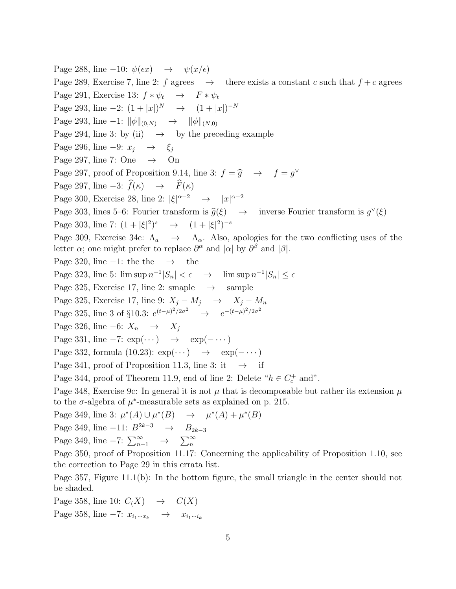Page 288, line −10:  $\psi(\epsilon x) \rightarrow \psi(x/\epsilon)$ Page 289, Exercise 7, line 2: f agrees  $\rightarrow$  there exists a constant c such that  $f + c$  agrees Page 291, Exercise 13:  $f * \psi_t \rightarrow F * \psi_t$ Page 293, line  $-2: (1+|x|)^N \rightarrow (1+|x|)^{-N}$ Page 293, line −1:  $\|\phi\|_{(0,N)} \to \|\phi\|_{(N,0)}$ Page 294, line 3: by (ii)  $\rightarrow$  by the preceding example Page 296, line  $-9: x_i \rightarrow \xi_i$ Page 297, line 7: One  $\rightarrow$  On Page 297, proof of Proposition 9.14, line 3:  $f = \hat{g} \rightarrow f = g^{\vee}$ Page 297, line  $-3: \hat{f}(\kappa) \rightarrow \hat{F}(\kappa)$ Page 300, Exercise 28, line 2:  $|\xi|^{\alpha-2} \rightarrow |x|^{\alpha-2}$ Page 303, lines 5–6: Fourier transform is  $\hat{g}(\xi) \rightarrow$ ∨ (ξ) Page 303, line 7:  $(1+|\xi|^2)^s \rightarrow (1+|\xi|^2)^{-s}$ Page 309, Exercise 34c:  $\Lambda_a \rightarrow \Lambda_{\alpha}$ . Also, apologies for the two conflicting uses of the letter  $\alpha$ ; one might prefer to replace  $\partial^{\alpha}$  and  $|\alpha|$  by  $\partial^{\beta}$  and  $|\beta|$ . Page 320, line  $-1$ : the the  $\rightarrow$  the Page 323, line 5:  $\limsup n^{-1}|S_n| < \epsilon \rightarrow \limsup n^{-1}|S_n| \leq \epsilon$ Page 325, Exercise 17, line 2: smaple  $\rightarrow$  sample Page 325, Exercise 17, line 9:  $X_j - M_j \rightarrow X_j - M_n$ Page 325, line 3 of §10.3:  $e^{(t-\mu)^2/2\sigma^2} \rightarrow e^{-(t-\mu)^2/2\sigma^2}$ Page 326, line −6:  $X_n \rightarrow X_j$ Page 331, line  $-7: \exp(\cdots) \rightarrow \exp(-\cdots)$ Page 332, formula (10.23):  $\exp(\cdots) \rightarrow \exp(-\cdots)$ Page 341, proof of Proposition 11.3, line 3: it  $\rightarrow$  if Page 344, proof of Theorem 11.9, end of line 2: Delete " $h \in C_c^+$  and". Page 348, Exercise 9c: In general it is not  $\mu$  that is decomposable but rather its extension  $\overline{\mu}$ to the  $\sigma$ -algebra of  $\mu^*$ -measurable sets as explained on p. 215. Page 349, line 3:  $\mu^*(A) \cup \mu^*(B) \rightarrow \mu^*(A) + \mu^*(B)$ Page 349, line −11:  $B^{2k-3}$  →  $B_{2k-3}$ Page 349, line  $-7: \sum_{n+1}^{\infty} \rightarrow \sum_{n=1}^{\infty}$ Page 350, proof of Proposition 11.17: Concerning the applicability of Proposition 1.10, see the correction to Page 29 in this errata list.

Page 357, Figure 11.1(b): In the bottom figure, the small triangle in the center should not be shaded.

Page 358, line 10:  $C(X) \rightarrow C(X)$ Page 358, line  $-7: x_{i_1\cdots i_k} \rightarrow x_{i_1\cdots i_k}$